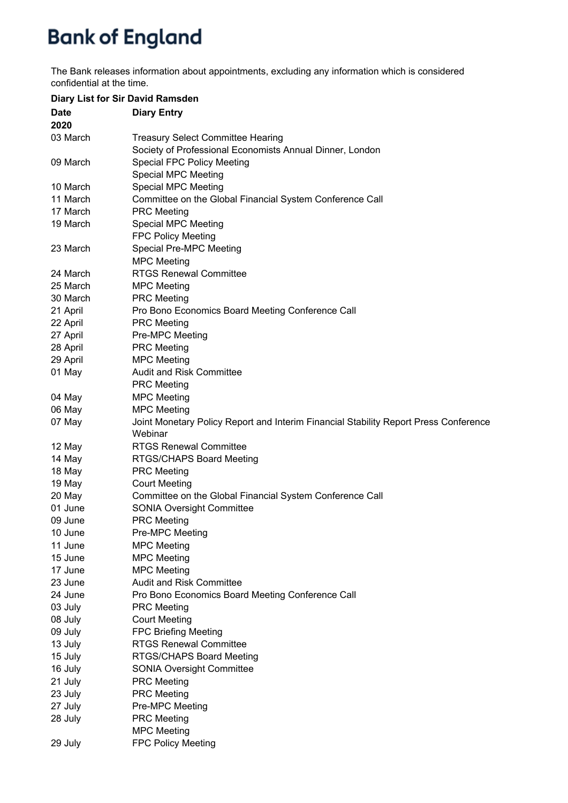The Bank releases information about appointments, excluding any information which is considered confidential at the time.

| Diary List for Sir David Ramsden |                                                                                                 |
|----------------------------------|-------------------------------------------------------------------------------------------------|
| <b>Date</b><br>2020              | <b>Diary Entry</b>                                                                              |
| 03 March                         | <b>Treasury Select Committee Hearing</b>                                                        |
|                                  | Society of Professional Economists Annual Dinner, London                                        |
| 09 March                         | <b>Special FPC Policy Meeting</b>                                                               |
|                                  | <b>Special MPC Meeting</b>                                                                      |
| 10 March                         | <b>Special MPC Meeting</b>                                                                      |
| 11 March                         | Committee on the Global Financial System Conference Call                                        |
| 17 March                         | <b>PRC</b> Meeting                                                                              |
| 19 March                         | <b>Special MPC Meeting</b>                                                                      |
|                                  | <b>FPC Policy Meeting</b>                                                                       |
| 23 March                         | Special Pre-MPC Meeting                                                                         |
|                                  | <b>MPC Meeting</b>                                                                              |
| 24 March                         | <b>RTGS Renewal Committee</b>                                                                   |
| 25 March                         | <b>MPC Meeting</b>                                                                              |
| 30 March                         | <b>PRC Meeting</b>                                                                              |
| 21 April                         | Pro Bono Economics Board Meeting Conference Call                                                |
| 22 April                         | <b>PRC Meeting</b>                                                                              |
| 27 April                         | Pre-MPC Meeting                                                                                 |
| 28 April                         | <b>PRC Meeting</b>                                                                              |
| 29 April                         | <b>MPC Meeting</b>                                                                              |
| 01 May                           | <b>Audit and Risk Committee</b>                                                                 |
|                                  | <b>PRC</b> Meeting                                                                              |
| 04 May                           | <b>MPC Meeting</b>                                                                              |
| 06 May                           | <b>MPC Meeting</b>                                                                              |
| 07 May                           | Joint Monetary Policy Report and Interim Financial Stability Report Press Conference<br>Webinar |
| 12 May                           | <b>RTGS Renewal Committee</b>                                                                   |
| 14 May                           | RTGS/CHAPS Board Meeting                                                                        |
| 18 May                           | <b>PRC Meeting</b>                                                                              |
| 19 May                           | <b>Court Meeting</b>                                                                            |
| 20 May                           | Committee on the Global Financial System Conference Call                                        |
| 01 June                          | <b>SONIA Oversight Committee</b>                                                                |
| 09 June                          | <b>PRC</b> Meeting                                                                              |
| 10 June                          | Pre-MPC Meeting                                                                                 |
| 11 June                          | <b>MPC Meeting</b>                                                                              |
| 15 June                          | <b>MPC Meeting</b>                                                                              |
| 17 June                          | <b>MPC Meeting</b>                                                                              |
| 23 June                          | <b>Audit and Risk Committee</b>                                                                 |
| 24 June                          | Pro Bono Economics Board Meeting Conference Call                                                |
| 03 July                          | <b>PRC</b> Meeting                                                                              |
| 08 July                          | <b>Court Meeting</b>                                                                            |
| 09 July                          | <b>FPC Briefing Meeting</b>                                                                     |
| 13 July                          | <b>RTGS Renewal Committee</b>                                                                   |
| 15 July                          | RTGS/CHAPS Board Meeting                                                                        |
| 16 July                          | <b>SONIA Oversight Committee</b>                                                                |
| 21 July                          | <b>PRC Meeting</b>                                                                              |
| 23 July                          | <b>PRC Meeting</b>                                                                              |
| 27 July                          | Pre-MPC Meeting                                                                                 |
| 28 July                          | <b>PRC Meeting</b>                                                                              |
|                                  | <b>MPC Meeting</b>                                                                              |
| 29 July                          | <b>FPC Policy Meeting</b>                                                                       |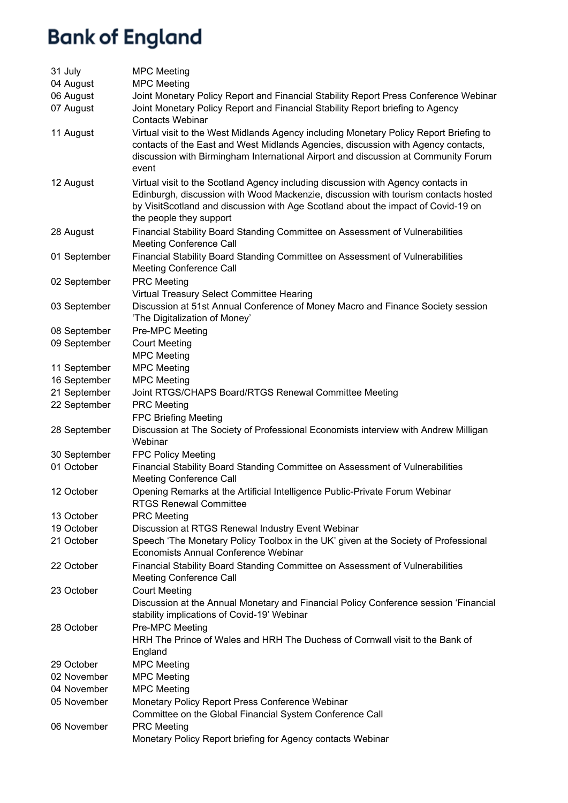| 31 July      | <b>MPC Meeting</b>                                                                                                                                                                                                                                                                      |
|--------------|-----------------------------------------------------------------------------------------------------------------------------------------------------------------------------------------------------------------------------------------------------------------------------------------|
| 04 August    | <b>MPC Meeting</b>                                                                                                                                                                                                                                                                      |
| 06 August    | Joint Monetary Policy Report and Financial Stability Report Press Conference Webinar                                                                                                                                                                                                    |
| 07 August    | Joint Monetary Policy Report and Financial Stability Report briefing to Agency<br><b>Contacts Webinar</b>                                                                                                                                                                               |
| 11 August    | Virtual visit to the West Midlands Agency including Monetary Policy Report Briefing to<br>contacts of the East and West Midlands Agencies, discussion with Agency contacts,<br>discussion with Birmingham International Airport and discussion at Community Forum<br>event              |
| 12 August    | Virtual visit to the Scotland Agency including discussion with Agency contacts in<br>Edinburgh, discussion with Wood Mackenzie, discussion with tourism contacts hosted<br>by VisitScotland and discussion with Age Scotland about the impact of Covid-19 on<br>the people they support |
| 28 August    | Financial Stability Board Standing Committee on Assessment of Vulnerabilities<br><b>Meeting Conference Call</b>                                                                                                                                                                         |
| 01 September | Financial Stability Board Standing Committee on Assessment of Vulnerabilities<br><b>Meeting Conference Call</b>                                                                                                                                                                         |
| 02 September | <b>PRC Meeting</b>                                                                                                                                                                                                                                                                      |
|              | Virtual Treasury Select Committee Hearing                                                                                                                                                                                                                                               |
| 03 September | Discussion at 51st Annual Conference of Money Macro and Finance Society session<br>'The Digitalization of Money'                                                                                                                                                                        |
| 08 September | Pre-MPC Meeting                                                                                                                                                                                                                                                                         |
| 09 September | <b>Court Meeting</b><br><b>MPC Meeting</b>                                                                                                                                                                                                                                              |
| 11 September | <b>MPC Meeting</b>                                                                                                                                                                                                                                                                      |
| 16 September | <b>MPC Meeting</b>                                                                                                                                                                                                                                                                      |
| 21 September | Joint RTGS/CHAPS Board/RTGS Renewal Committee Meeting                                                                                                                                                                                                                                   |
| 22 September | <b>PRC Meeting</b>                                                                                                                                                                                                                                                                      |
|              | <b>FPC Briefing Meeting</b>                                                                                                                                                                                                                                                             |
| 28 September | Discussion at The Society of Professional Economists interview with Andrew Milligan<br>Webinar                                                                                                                                                                                          |
| 30 September | <b>FPC Policy Meeting</b>                                                                                                                                                                                                                                                               |
| 01 October   | Financial Stability Board Standing Committee on Assessment of Vulnerabilities<br><b>Meeting Conference Call</b>                                                                                                                                                                         |
| 12 October   | Opening Remarks at the Artificial Intelligence Public-Private Forum Webinar<br><b>RTGS Renewal Committee</b>                                                                                                                                                                            |
| 13 October   | <b>PRC Meeting</b>                                                                                                                                                                                                                                                                      |
| 19 October   | Discussion at RTGS Renewal Industry Event Webinar                                                                                                                                                                                                                                       |
| 21 October   | Speech 'The Monetary Policy Toolbox in the UK' given at the Society of Professional<br>Economists Annual Conference Webinar                                                                                                                                                             |
| 22 October   | Financial Stability Board Standing Committee on Assessment of Vulnerabilities<br><b>Meeting Conference Call</b>                                                                                                                                                                         |
| 23 October   | <b>Court Meeting</b><br>Discussion at the Annual Monetary and Financial Policy Conference session 'Financial<br>stability implications of Covid-19' Webinar                                                                                                                             |
| 28 October   | Pre-MPC Meeting<br>HRH The Prince of Wales and HRH The Duchess of Cornwall visit to the Bank of<br>England                                                                                                                                                                              |
| 29 October   | <b>MPC Meeting</b>                                                                                                                                                                                                                                                                      |
| 02 November  | <b>MPC Meeting</b>                                                                                                                                                                                                                                                                      |
| 04 November  | <b>MPC Meeting</b>                                                                                                                                                                                                                                                                      |
| 05 November  | Monetary Policy Report Press Conference Webinar<br>Committee on the Global Financial System Conference Call                                                                                                                                                                             |
| 06 November  | <b>PRC</b> Meeting<br>Monetary Policy Report briefing for Agency contacts Webinar                                                                                                                                                                                                       |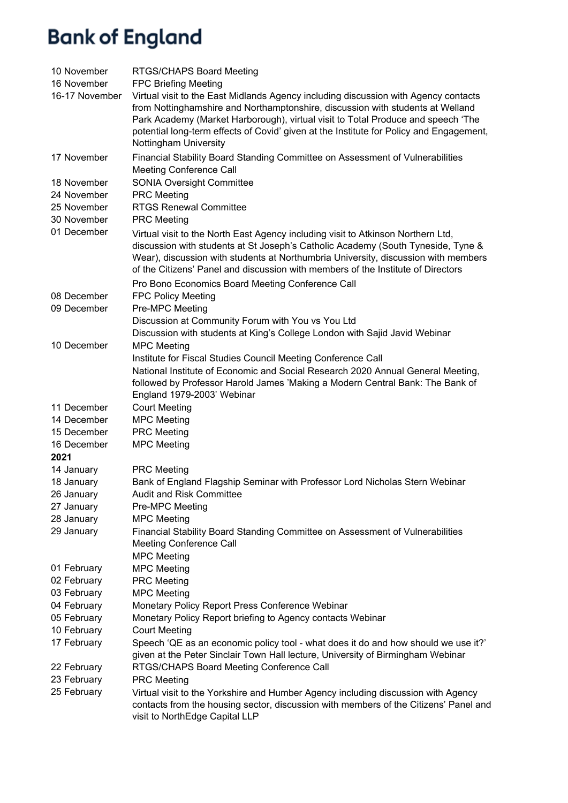| 10 November    | RTGS/CHAPS Board Meeting                                                                                                                                                                                                                                                                                                                                                      |
|----------------|-------------------------------------------------------------------------------------------------------------------------------------------------------------------------------------------------------------------------------------------------------------------------------------------------------------------------------------------------------------------------------|
| 16 November    | <b>FPC Briefing Meeting</b>                                                                                                                                                                                                                                                                                                                                                   |
| 16-17 November | Virtual visit to the East Midlands Agency including discussion with Agency contacts<br>from Nottinghamshire and Northamptonshire, discussion with students at Welland<br>Park Academy (Market Harborough), virtual visit to Total Produce and speech 'The<br>potential long-term effects of Covid' given at the Institute for Policy and Engagement,<br>Nottingham University |
| 17 November    | Financial Stability Board Standing Committee on Assessment of Vulnerabilities<br>Meeting Conference Call                                                                                                                                                                                                                                                                      |
| 18 November    | <b>SONIA Oversight Committee</b>                                                                                                                                                                                                                                                                                                                                              |
| 24 November    | <b>PRC Meeting</b>                                                                                                                                                                                                                                                                                                                                                            |
| 25 November    | <b>RTGS Renewal Committee</b>                                                                                                                                                                                                                                                                                                                                                 |
| 30 November    | <b>PRC</b> Meeting                                                                                                                                                                                                                                                                                                                                                            |
| 01 December    | Virtual visit to the North East Agency including visit to Atkinson Northern Ltd,<br>discussion with students at St Joseph's Catholic Academy (South Tyneside, Tyne &<br>Wear), discussion with students at Northumbria University, discussion with members<br>of the Citizens' Panel and discussion with members of the Institute of Directors                                |
|                | Pro Bono Economics Board Meeting Conference Call                                                                                                                                                                                                                                                                                                                              |
| 08 December    | <b>FPC Policy Meeting</b>                                                                                                                                                                                                                                                                                                                                                     |
| 09 December    | Pre-MPC Meeting                                                                                                                                                                                                                                                                                                                                                               |
|                | Discussion at Community Forum with You vs You Ltd                                                                                                                                                                                                                                                                                                                             |
|                | Discussion with students at King's College London with Sajid Javid Webinar                                                                                                                                                                                                                                                                                                    |
| 10 December    | <b>MPC Meeting</b>                                                                                                                                                                                                                                                                                                                                                            |
|                | Institute for Fiscal Studies Council Meeting Conference Call                                                                                                                                                                                                                                                                                                                  |
|                | National Institute of Economic and Social Research 2020 Annual General Meeting,<br>followed by Professor Harold James 'Making a Modern Central Bank: The Bank of<br>England 1979-2003' Webinar                                                                                                                                                                                |
| 11 December    | <b>Court Meeting</b>                                                                                                                                                                                                                                                                                                                                                          |
| 14 December    | <b>MPC Meeting</b>                                                                                                                                                                                                                                                                                                                                                            |
| 15 December    | <b>PRC</b> Meeting                                                                                                                                                                                                                                                                                                                                                            |
| 16 December    | <b>MPC Meeting</b>                                                                                                                                                                                                                                                                                                                                                            |
| 2021           |                                                                                                                                                                                                                                                                                                                                                                               |
| 14 January     | <b>PRC</b> Meeting                                                                                                                                                                                                                                                                                                                                                            |
| 18 January     | Bank of England Flagship Seminar with Professor Lord Nicholas Stern Webinar                                                                                                                                                                                                                                                                                                   |
| 26 January     | <b>Audit and Risk Committee</b>                                                                                                                                                                                                                                                                                                                                               |
| 27 January     | Pre-MPC Meeting                                                                                                                                                                                                                                                                                                                                                               |
| 28 January     | <b>MPC Meeting</b>                                                                                                                                                                                                                                                                                                                                                            |
| 29 January     | Financial Stability Board Standing Committee on Assessment of Vulnerabilities                                                                                                                                                                                                                                                                                                 |
|                | Meeting Conference Call                                                                                                                                                                                                                                                                                                                                                       |
| 01 February    | <b>MPC Meeting</b><br><b>MPC Meeting</b>                                                                                                                                                                                                                                                                                                                                      |
| 02 February    | <b>PRC</b> Meeting                                                                                                                                                                                                                                                                                                                                                            |
| 03 February    | <b>MPC Meeting</b>                                                                                                                                                                                                                                                                                                                                                            |
| 04 February    | Monetary Policy Report Press Conference Webinar                                                                                                                                                                                                                                                                                                                               |
| 05 February    | Monetary Policy Report briefing to Agency contacts Webinar                                                                                                                                                                                                                                                                                                                    |
| 10 February    | <b>Court Meeting</b>                                                                                                                                                                                                                                                                                                                                                          |
| 17 February    | Speech 'QE as an economic policy tool - what does it do and how should we use it?'<br>given at the Peter Sinclair Town Hall lecture, University of Birmingham Webinar                                                                                                                                                                                                         |
| 22 February    | RTGS/CHAPS Board Meeting Conference Call                                                                                                                                                                                                                                                                                                                                      |
| 23 February    | <b>PRC</b> Meeting                                                                                                                                                                                                                                                                                                                                                            |
| 25 February    | Virtual visit to the Yorkshire and Humber Agency including discussion with Agency<br>contacts from the housing sector, discussion with members of the Citizens' Panel and<br>visit to NorthEdge Capital LLP                                                                                                                                                                   |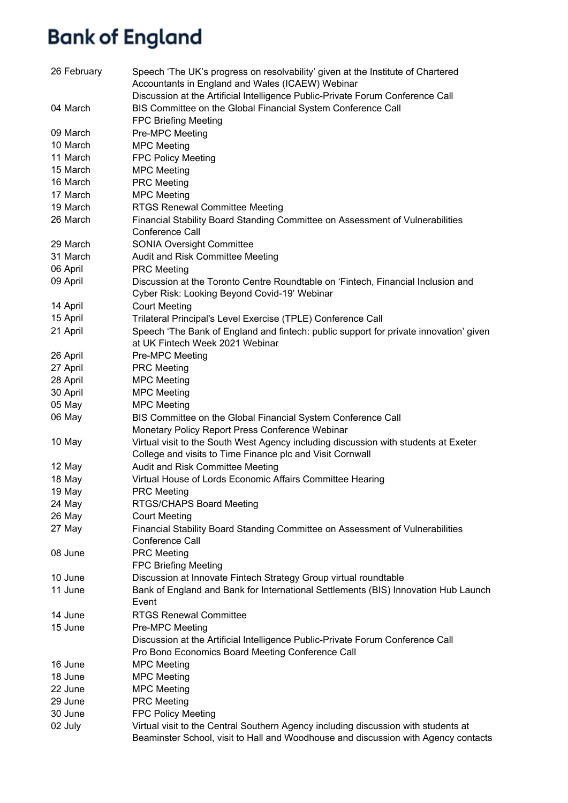| 26 February | Speech 'The UK's progress on resolvability' given at the Institute of Chartered<br>Accountants in England and Wales (ICAEW) Webinar                                      |
|-------------|--------------------------------------------------------------------------------------------------------------------------------------------------------------------------|
|             | Discussion at the Artificial Intelligence Public-Private Forum Conference Call                                                                                           |
| 04 March    | BIS Committee on the Global Financial System Conference Call                                                                                                             |
|             | <b>FPC Briefing Meeting</b>                                                                                                                                              |
| 09 March    | Pre-MPC Meeting                                                                                                                                                          |
| 10 March    | <b>MPC Meeting</b>                                                                                                                                                       |
| 11 March    | <b>FPC Policy Meeting</b>                                                                                                                                                |
| 15 March    | <b>MPC Meeting</b>                                                                                                                                                       |
| 16 March    | <b>PRC Meeting</b>                                                                                                                                                       |
| 17 March    | <b>MPC Meeting</b>                                                                                                                                                       |
| 19 March    | <b>RTGS Renewal Committee Meeting</b>                                                                                                                                    |
| 26 March    | Financial Stability Board Standing Committee on Assessment of Vulnerabilities<br>Conference Call                                                                         |
| 29 March    | <b>SONIA Oversight Committee</b>                                                                                                                                         |
| 31 March    | Audit and Risk Committee Meeting                                                                                                                                         |
| 06 April    | <b>PRC</b> Meeting                                                                                                                                                       |
| 09 April    | Discussion at the Toronto Centre Roundtable on 'Fintech, Financial Inclusion and<br>Cyber Risk: Looking Beyond Covid-19' Webinar                                         |
| 14 April    | <b>Court Meeting</b>                                                                                                                                                     |
| 15 April    | Trilateral Principal's Level Exercise (TPLE) Conference Call                                                                                                             |
| 21 April    | Speech 'The Bank of England and fintech: public support for private innovation' given<br>at UK Fintech Week 2021 Webinar                                                 |
| 26 April    | Pre-MPC Meeting                                                                                                                                                          |
| 27 April    | <b>PRC Meeting</b>                                                                                                                                                       |
| 28 April    | <b>MPC Meeting</b>                                                                                                                                                       |
| 30 April    | <b>MPC Meeting</b>                                                                                                                                                       |
| 05 May      | <b>MPC Meeting</b>                                                                                                                                                       |
| 06 May      | BIS Committee on the Global Financial System Conference Call                                                                                                             |
|             | Monetary Policy Report Press Conference Webinar                                                                                                                          |
| 10 May      | Virtual visit to the South West Agency including discussion with students at Exeter                                                                                      |
|             | College and visits to Time Finance plc and Visit Cornwall                                                                                                                |
| 12 May      | Audit and Risk Committee Meeting                                                                                                                                         |
| 18 May      | Virtual House of Lords Economic Affairs Committee Hearing                                                                                                                |
| 19 May      | <b>PRC Meeting</b>                                                                                                                                                       |
| 24 May      | RTGS/CHAPS Board Meeting                                                                                                                                                 |
| 26 May      | <b>Court Meeting</b>                                                                                                                                                     |
| 27 May      | Financial Stability Board Standing Committee on Assessment of Vulnerabilities<br>Conference Call                                                                         |
| 08 June     | <b>PRC Meeting</b><br><b>FPC Briefing Meeting</b>                                                                                                                        |
| 10 June     | Discussion at Innovate Fintech Strategy Group virtual roundtable                                                                                                         |
| 11 June     | Bank of England and Bank for International Settlements (BIS) Innovation Hub Launch<br>Event                                                                              |
| 14 June     | <b>RTGS Renewal Committee</b>                                                                                                                                            |
| 15 June     | Pre-MPC Meeting                                                                                                                                                          |
|             | Discussion at the Artificial Intelligence Public-Private Forum Conference Call                                                                                           |
|             | Pro Bono Economics Board Meeting Conference Call                                                                                                                         |
| 16 June     | <b>MPC Meeting</b>                                                                                                                                                       |
| 18 June     | <b>MPC Meeting</b>                                                                                                                                                       |
| 22 June     | <b>MPC Meeting</b>                                                                                                                                                       |
| 29 June     | <b>PRC Meeting</b>                                                                                                                                                       |
| 30 June     | <b>FPC Policy Meeting</b>                                                                                                                                                |
| 02 July     | Virtual visit to the Central Southern Agency including discussion with students at<br>Beaminster School, visit to Hall and Woodhouse and discussion with Agency contacts |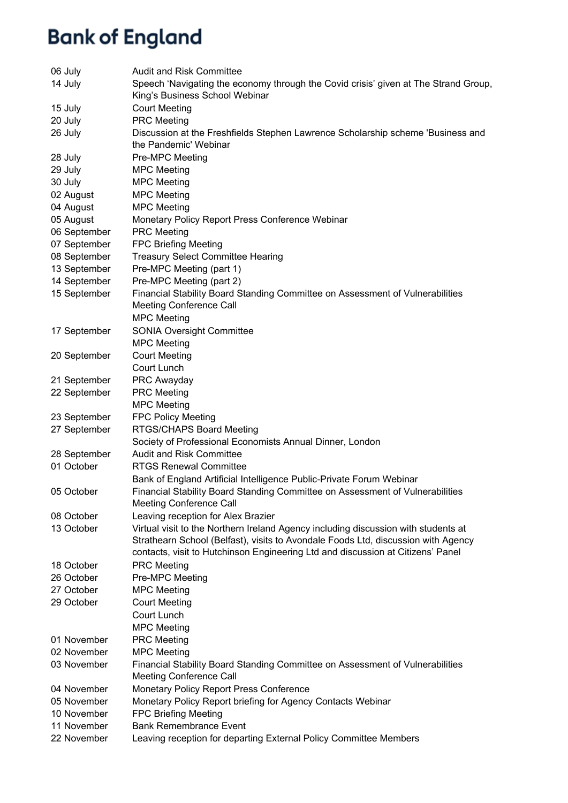| 06 July      | <b>Audit and Risk Committee</b>                                                                                                                                         |
|--------------|-------------------------------------------------------------------------------------------------------------------------------------------------------------------------|
| 14 July      | Speech 'Navigating the economy through the Covid crisis' given at The Strand Group,<br>King's Business School Webinar                                                   |
| 15 July      | <b>Court Meeting</b>                                                                                                                                                    |
| 20 July      | <b>PRC</b> Meeting                                                                                                                                                      |
| 26 July      | Discussion at the Freshfields Stephen Lawrence Scholarship scheme 'Business and<br>the Pandemic' Webinar                                                                |
| 28 July      | Pre-MPC Meeting                                                                                                                                                         |
| 29 July      | <b>MPC Meeting</b>                                                                                                                                                      |
| 30 July      | <b>MPC Meeting</b>                                                                                                                                                      |
| 02 August    | <b>MPC Meeting</b>                                                                                                                                                      |
| 04 August    | <b>MPC Meeting</b>                                                                                                                                                      |
| 05 August    | Monetary Policy Report Press Conference Webinar                                                                                                                         |
| 06 September | <b>PRC</b> Meeting                                                                                                                                                      |
| 07 September | <b>FPC Briefing Meeting</b>                                                                                                                                             |
| 08 September | <b>Treasury Select Committee Hearing</b>                                                                                                                                |
| 13 September | Pre-MPC Meeting (part 1)                                                                                                                                                |
| 14 September | Pre-MPC Meeting (part 2)                                                                                                                                                |
| 15 September | Financial Stability Board Standing Committee on Assessment of Vulnerabilities                                                                                           |
|              | <b>Meeting Conference Call</b>                                                                                                                                          |
|              | <b>MPC Meeting</b>                                                                                                                                                      |
| 17 September | <b>SONIA Oversight Committee</b>                                                                                                                                        |
|              | <b>MPC Meeting</b>                                                                                                                                                      |
| 20 September | <b>Court Meeting</b>                                                                                                                                                    |
|              | <b>Court Lunch</b>                                                                                                                                                      |
| 21 September | PRC Awayday                                                                                                                                                             |
| 22 September | <b>PRC Meeting</b>                                                                                                                                                      |
|              | <b>MPC Meeting</b>                                                                                                                                                      |
| 23 September | <b>FPC Policy Meeting</b>                                                                                                                                               |
| 27 September | RTGS/CHAPS Board Meeting                                                                                                                                                |
|              | Society of Professional Economists Annual Dinner, London                                                                                                                |
| 28 September | <b>Audit and Risk Committee</b>                                                                                                                                         |
| 01 October   | <b>RTGS Renewal Committee</b>                                                                                                                                           |
|              | Bank of England Artificial Intelligence Public-Private Forum Webinar                                                                                                    |
| 05 October   | Financial Stability Board Standing Committee on Assessment of Vulnerabilities                                                                                           |
|              | <b>Meeting Conference Call</b>                                                                                                                                          |
| 08 October   | Leaving reception for Alex Brazier                                                                                                                                      |
| 13 October   | Virtual visit to the Northern Ireland Agency including discussion with students at<br>Strathearn School (Belfast), visits to Avondale Foods Ltd, discussion with Agency |
|              | contacts, visit to Hutchinson Engineering Ltd and discussion at Citizens' Panel                                                                                         |
| 18 October   | <b>PRC Meeting</b>                                                                                                                                                      |
| 26 October   | Pre-MPC Meeting                                                                                                                                                         |
| 27 October   | <b>MPC Meeting</b>                                                                                                                                                      |
| 29 October   | <b>Court Meeting</b>                                                                                                                                                    |
|              | Court Lunch                                                                                                                                                             |
|              | <b>MPC Meeting</b>                                                                                                                                                      |
| 01 November  | <b>PRC Meeting</b>                                                                                                                                                      |
| 02 November  | <b>MPC Meeting</b>                                                                                                                                                      |
| 03 November  | Financial Stability Board Standing Committee on Assessment of Vulnerabilities                                                                                           |
|              | <b>Meeting Conference Call</b>                                                                                                                                          |
| 04 November  | Monetary Policy Report Press Conference                                                                                                                                 |
| 05 November  | Monetary Policy Report briefing for Agency Contacts Webinar                                                                                                             |
| 10 November  | <b>FPC Briefing Meeting</b>                                                                                                                                             |
| 11 November  | <b>Bank Remembrance Event</b>                                                                                                                                           |
| 22 November  | Leaving reception for departing External Policy Committee Members                                                                                                       |